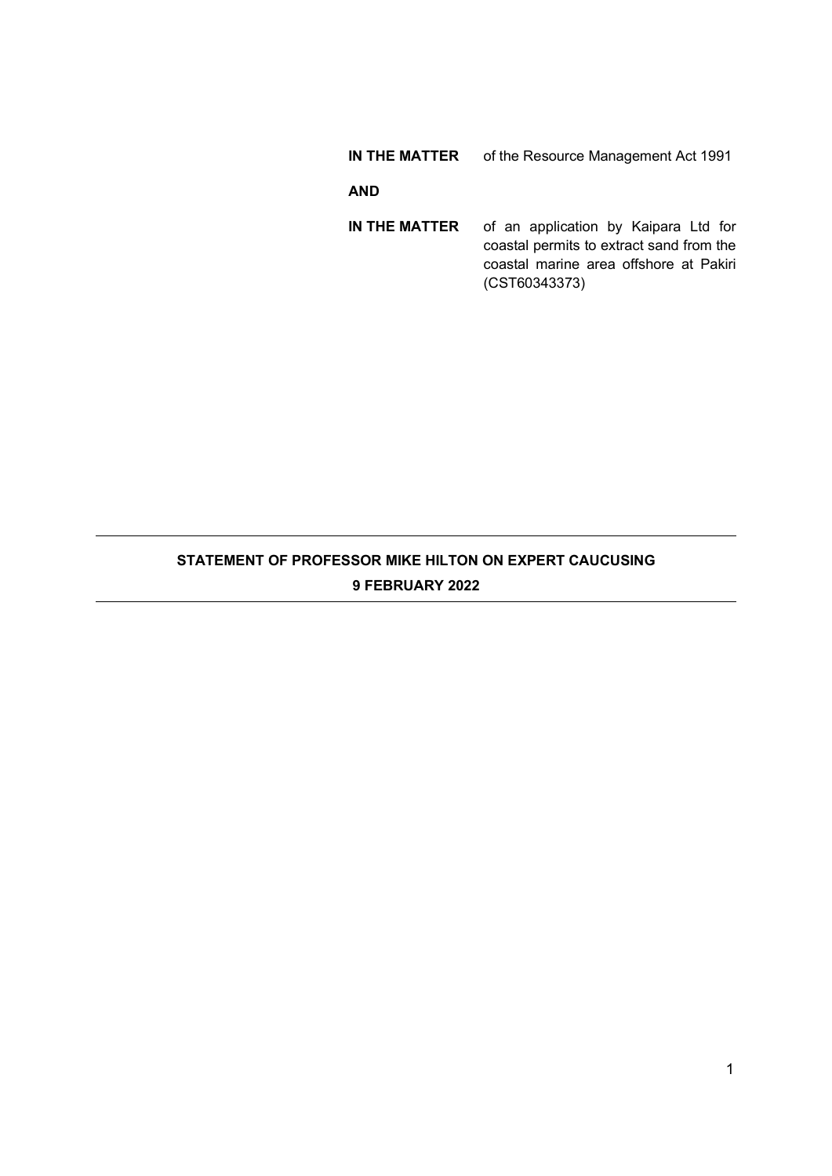## **IN THE MATTER** of the Resource Management Act 1991

## **AND**

**IN THE MATTER** of an application by Kaipara Ltd for coastal permits to extract sand from the coastal marine area offshore at Pakiri (CST60343373)

# **STATEMENT OF PROFESSOR MIKE HILTON ON EXPERT CAUCUSING 9 FEBRUARY 2022**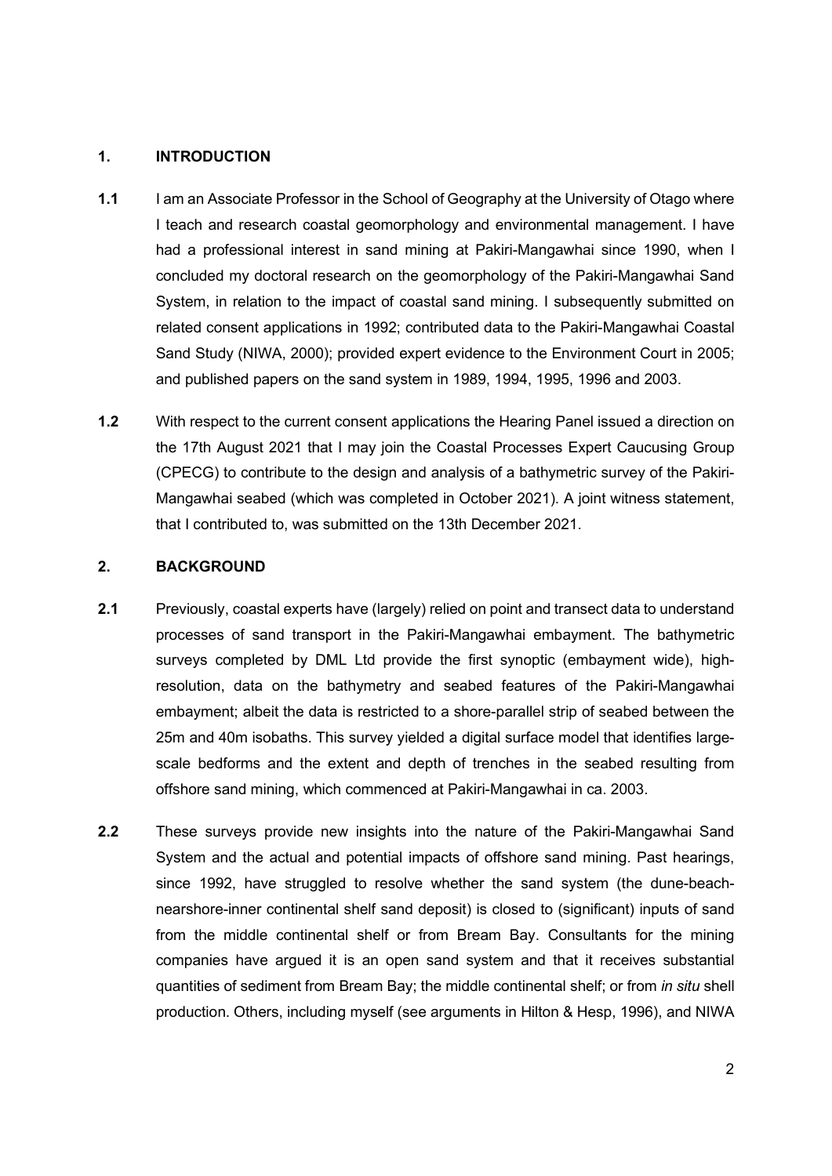### **1. INTRODUCTION**

- **1.1** I am an Associate Professor in the School of Geography at the University of Otago where I teach and research coastal geomorphology and environmental management. I have had a professional interest in sand mining at Pakiri-Mangawhai since 1990, when I concluded my doctoral research on the geomorphology of the Pakiri-Mangawhai Sand System, in relation to the impact of coastal sand mining. I subsequently submitted on related consent applications in 1992; contributed data to the Pakiri-Mangawhai Coastal Sand Study (NIWA, 2000); provided expert evidence to the Environment Court in 2005; and published papers on the sand system in 1989, 1994, 1995, 1996 and 2003.
- **1.2** With respect to the current consent applications the Hearing Panel issued a direction on the 17th August 2021 that I may join the Coastal Processes Expert Caucusing Group (CPECG) to contribute to the design and analysis of a bathymetric survey of the Pakiri-Mangawhai seabed (which was completed in October 2021). A joint witness statement, that I contributed to, was submitted on the 13th December 2021.

### **2. BACKGROUND**

- **2.1** Previously, coastal experts have (largely) relied on point and transect data to understand processes of sand transport in the Pakiri-Mangawhai embayment. The bathymetric surveys completed by DML Ltd provide the first synoptic (embayment wide), highresolution, data on the bathymetry and seabed features of the Pakiri-Mangawhai embayment; albeit the data is restricted to a shore-parallel strip of seabed between the 25m and 40m isobaths. This survey yielded a digital surface model that identifies largescale bedforms and the extent and depth of trenches in the seabed resulting from offshore sand mining, which commenced at Pakiri-Mangawhai in ca. 2003.
- **2.2** These surveys provide new insights into the nature of the Pakiri-Mangawhai Sand System and the actual and potential impacts of offshore sand mining. Past hearings, since 1992, have struggled to resolve whether the sand system (the dune-beachnearshore-inner continental shelf sand deposit) is closed to (significant) inputs of sand from the middle continental shelf or from Bream Bay. Consultants for the mining companies have argued it is an open sand system and that it receives substantial quantities of sediment from Bream Bay; the middle continental shelf; or from *in situ* shell production. Others, including myself (see arguments in Hilton & Hesp, 1996), and NIWA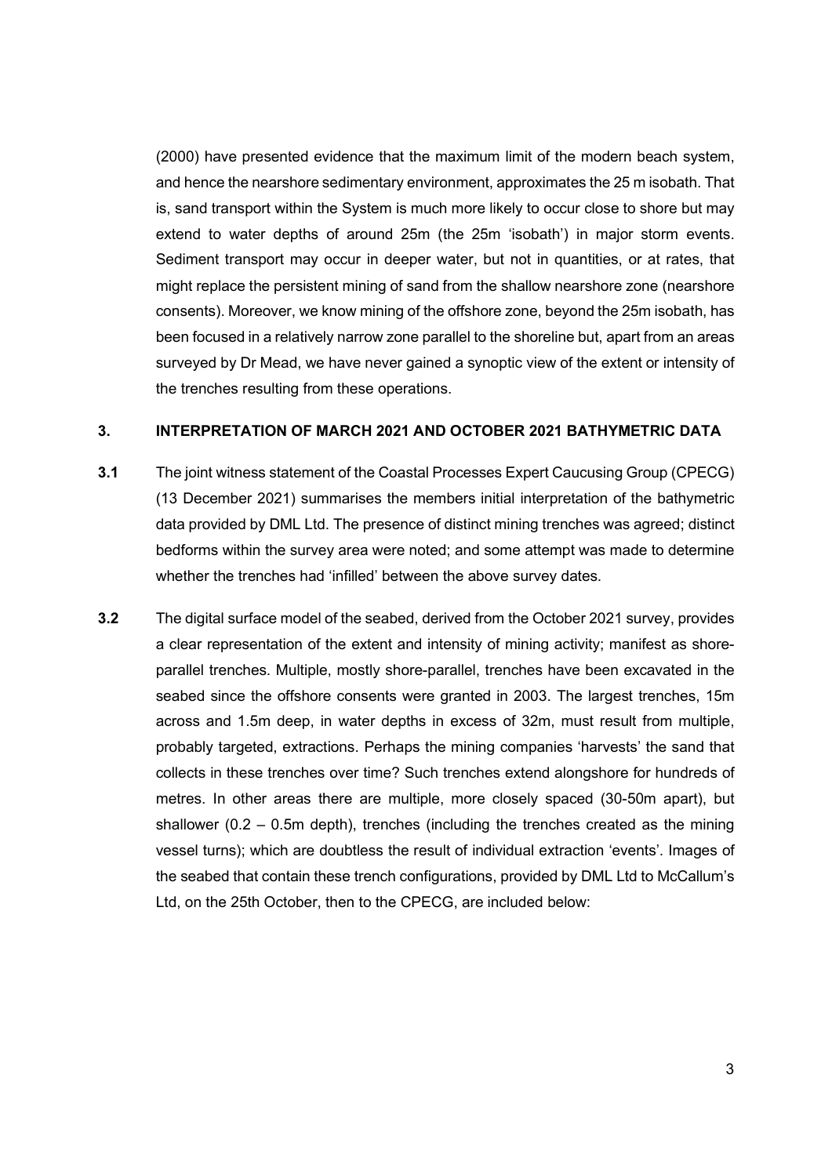(2000) have presented evidence that the maximum limit of the modern beach system, and hence the nearshore sedimentary environment, approximates the 25 m isobath. That is, sand transport within the System is much more likely to occur close to shore but may extend to water depths of around 25m (the 25m 'isobath') in major storm events. Sediment transport may occur in deeper water, but not in quantities, or at rates, that might replace the persistent mining of sand from the shallow nearshore zone (nearshore consents). Moreover, we know mining of the offshore zone, beyond the 25m isobath, has been focused in a relatively narrow zone parallel to the shoreline but, apart from an areas surveyed by Dr Mead, we have never gained a synoptic view of the extent or intensity of the trenches resulting from these operations.

#### **3. INTERPRETATION OF MARCH 2021 AND OCTOBER 2021 BATHYMETRIC DATA**

- **3.1** The joint witness statement of the Coastal Processes Expert Caucusing Group (CPECG) (13 December 2021) summarises the members initial interpretation of the bathymetric data provided by DML Ltd. The presence of distinct mining trenches was agreed; distinct bedforms within the survey area were noted; and some attempt was made to determine whether the trenches had 'infilled' between the above survey dates.
- **3.2** The digital surface model of the seabed, derived from the October 2021 survey, provides a clear representation of the extent and intensity of mining activity; manifest as shoreparallel trenches. Multiple, mostly shore-parallel, trenches have been excavated in the seabed since the offshore consents were granted in 2003. The largest trenches, 15m across and 1.5m deep, in water depths in excess of 32m, must result from multiple, probably targeted, extractions. Perhaps the mining companies 'harvests' the sand that collects in these trenches over time? Such trenches extend alongshore for hundreds of metres. In other areas there are multiple, more closely spaced (30-50m apart), but shallower  $(0.2 - 0.5m$  depth), trenches (including the trenches created as the mining vessel turns); which are doubtless the result of individual extraction 'events'. Images of the seabed that contain these trench configurations, provided by DML Ltd to McCallum's Ltd, on the 25th October, then to the CPECG, are included below: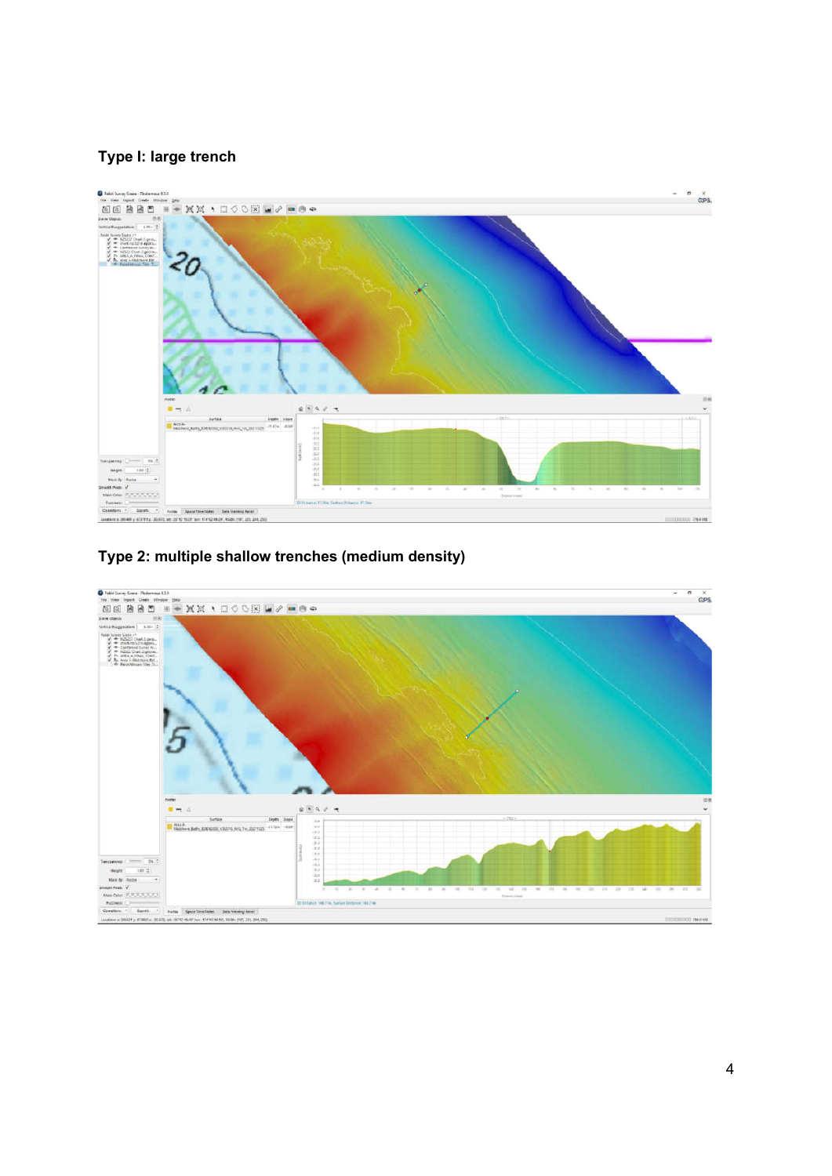## **Type I: large trench**





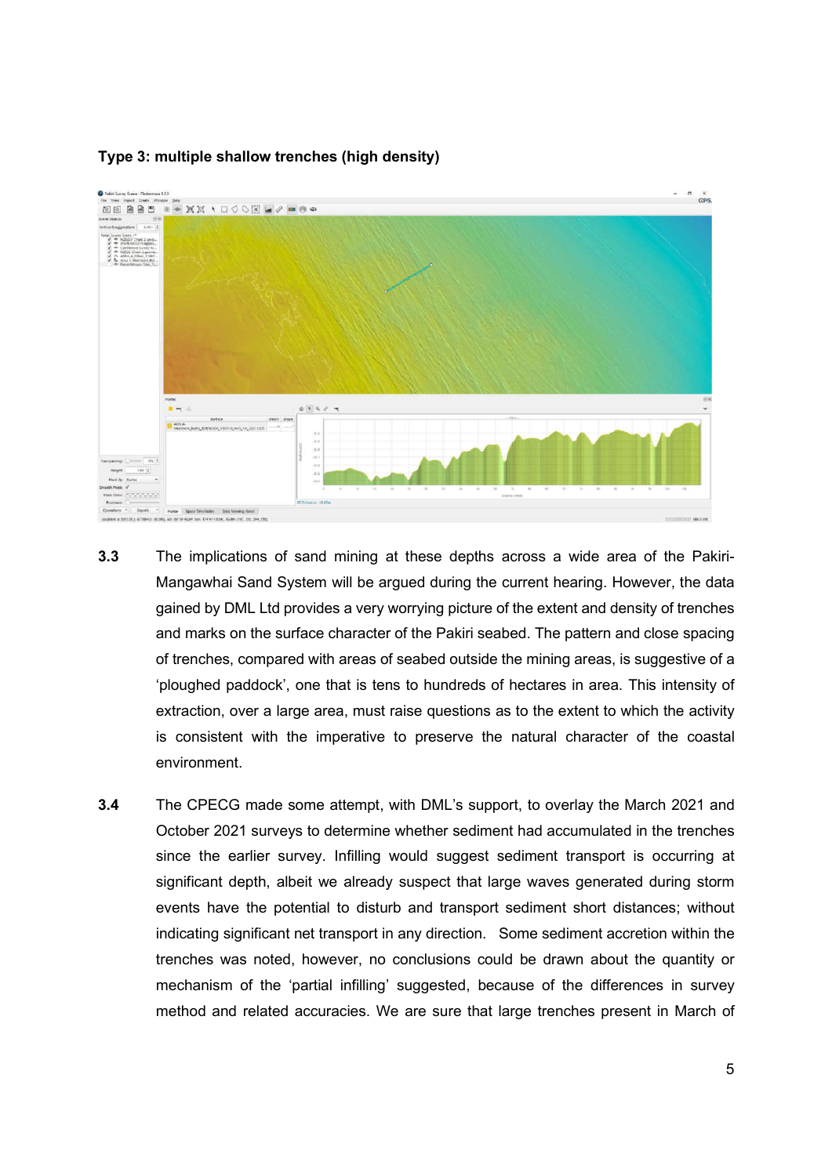

## **Type 3: multiple shallow trenches (high density)**

- **3.3** The implications of sand mining at these depths across a wide area of the Pakiri-Mangawhai Sand System will be argued during the current hearing. However, the data gained by DML Ltd provides a very worrying picture of the extent and density of trenches and marks on the surface character of the Pakiri seabed. The pattern and close spacing of trenches, compared with areas of seabed outside the mining areas, is suggestive of a 'ploughed paddock', one that is tens to hundreds of hectares in area. This intensity of extraction, over a large area, must raise questions as to the extent to which the activity is consistent with the imperative to preserve the natural character of the coastal environment.
- **3.4** The CPECG made some attempt, with DML's support, to overlay the March 2021 and October 2021 surveys to determine whether sediment had accumulated in the trenches since the earlier survey. Infilling would suggest sediment transport is occurring at significant depth, albeit we already suspect that large waves generated during storm events have the potential to disturb and transport sediment short distances; without indicating significant net transport in any direction. Some sediment accretion within the trenches was noted, however, no conclusions could be drawn about the quantity or mechanism of the 'partial infilling' suggested, because of the differences in survey method and related accuracies. We are sure that large trenches present in March of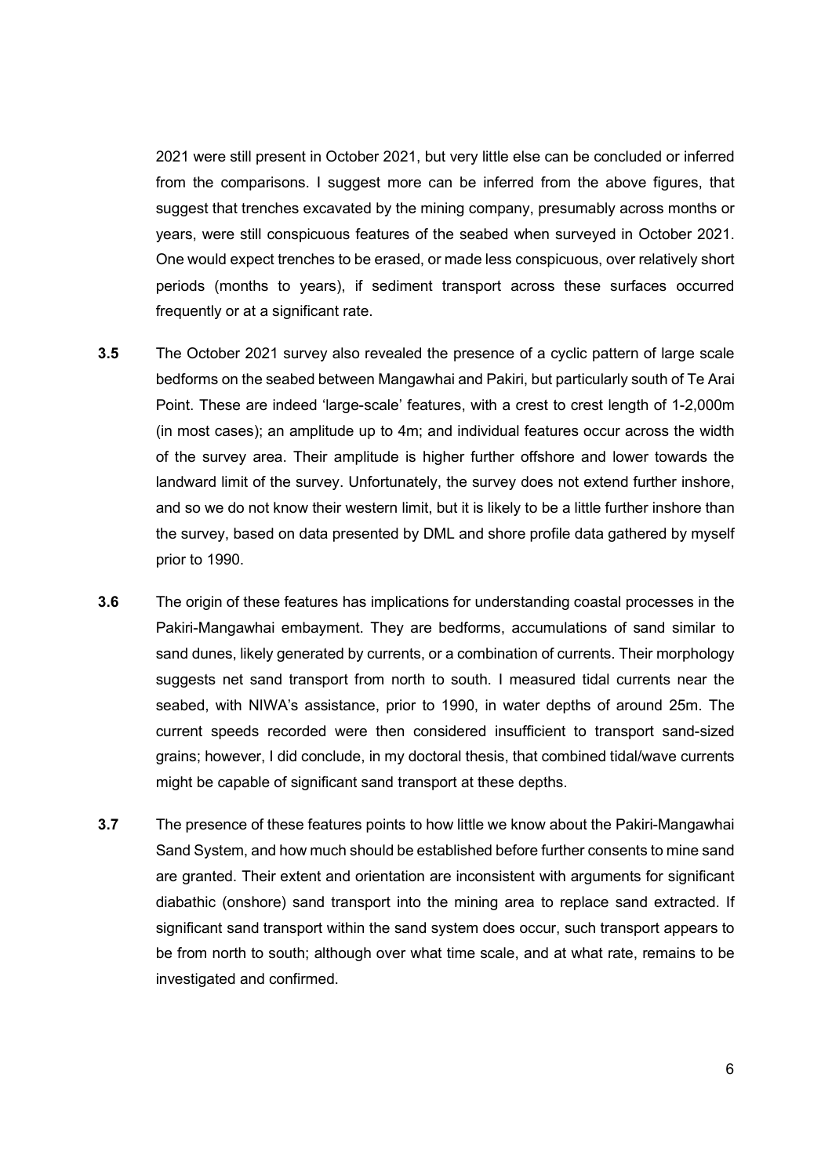2021 were still present in October 2021, but very little else can be concluded or inferred from the comparisons. I suggest more can be inferred from the above figures, that suggest that trenches excavated by the mining company, presumably across months or years, were still conspicuous features of the seabed when surveyed in October 2021. One would expect trenches to be erased, or made less conspicuous, over relatively short periods (months to years), if sediment transport across these surfaces occurred frequently or at a significant rate.

- **3.5** The October 2021 survey also revealed the presence of a cyclic pattern of large scale bedforms on the seabed between Mangawhai and Pakiri, but particularly south of Te Arai Point. These are indeed 'large-scale' features, with a crest to crest length of 1-2,000m (in most cases); an amplitude up to 4m; and individual features occur across the width of the survey area. Their amplitude is higher further offshore and lower towards the landward limit of the survey. Unfortunately, the survey does not extend further inshore, and so we do not know their western limit, but it is likely to be a little further inshore than the survey, based on data presented by DML and shore profile data gathered by myself prior to 1990.
- **3.6** The origin of these features has implications for understanding coastal processes in the Pakiri-Mangawhai embayment. They are bedforms, accumulations of sand similar to sand dunes, likely generated by currents, or a combination of currents. Their morphology suggests net sand transport from north to south. I measured tidal currents near the seabed, with NIWA's assistance, prior to 1990, in water depths of around 25m. The current speeds recorded were then considered insufficient to transport sand-sized grains; however, I did conclude, in my doctoral thesis, that combined tidal/wave currents might be capable of significant sand transport at these depths.
- **3.7** The presence of these features points to how little we know about the Pakiri-Mangawhai Sand System, and how much should be established before further consents to mine sand are granted. Their extent and orientation are inconsistent with arguments for significant diabathic (onshore) sand transport into the mining area to replace sand extracted. If significant sand transport within the sand system does occur, such transport appears to be from north to south; although over what time scale, and at what rate, remains to be investigated and confirmed.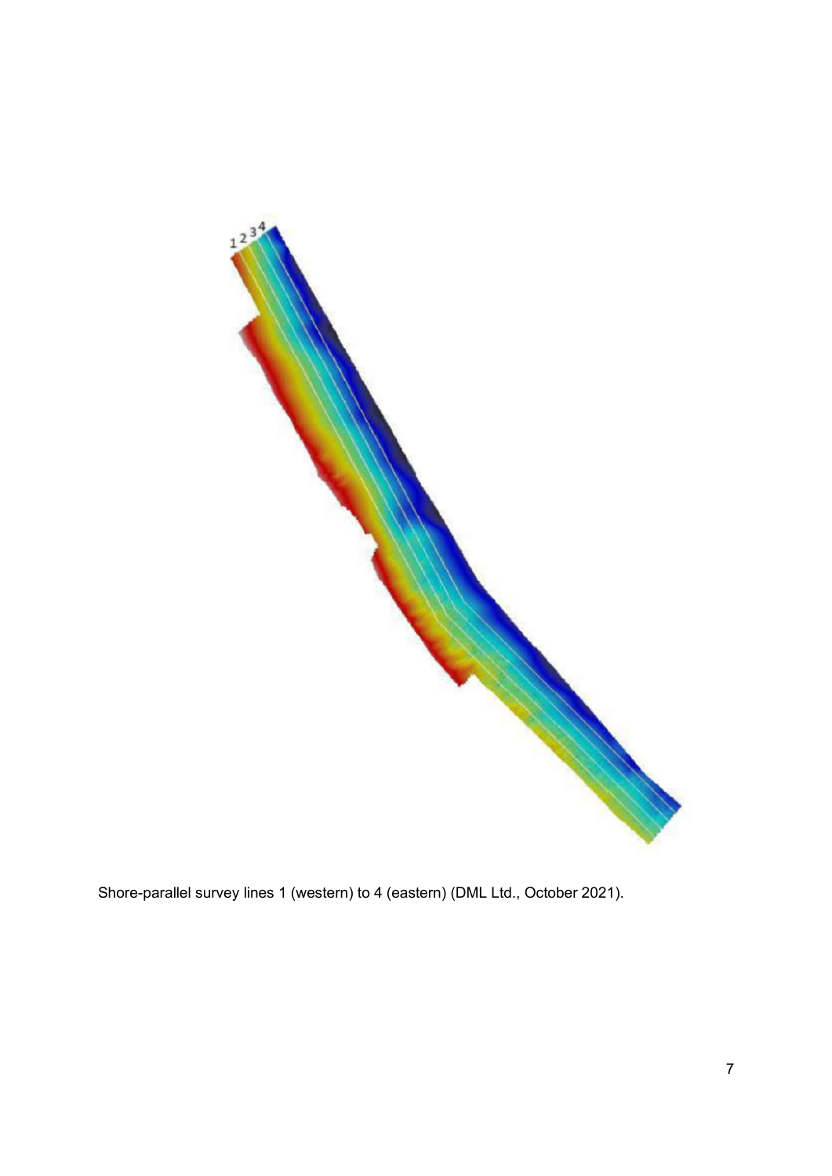

Shore-parallel survey lines 1 (western) to 4 (eastern) (DML Ltd., October 2021).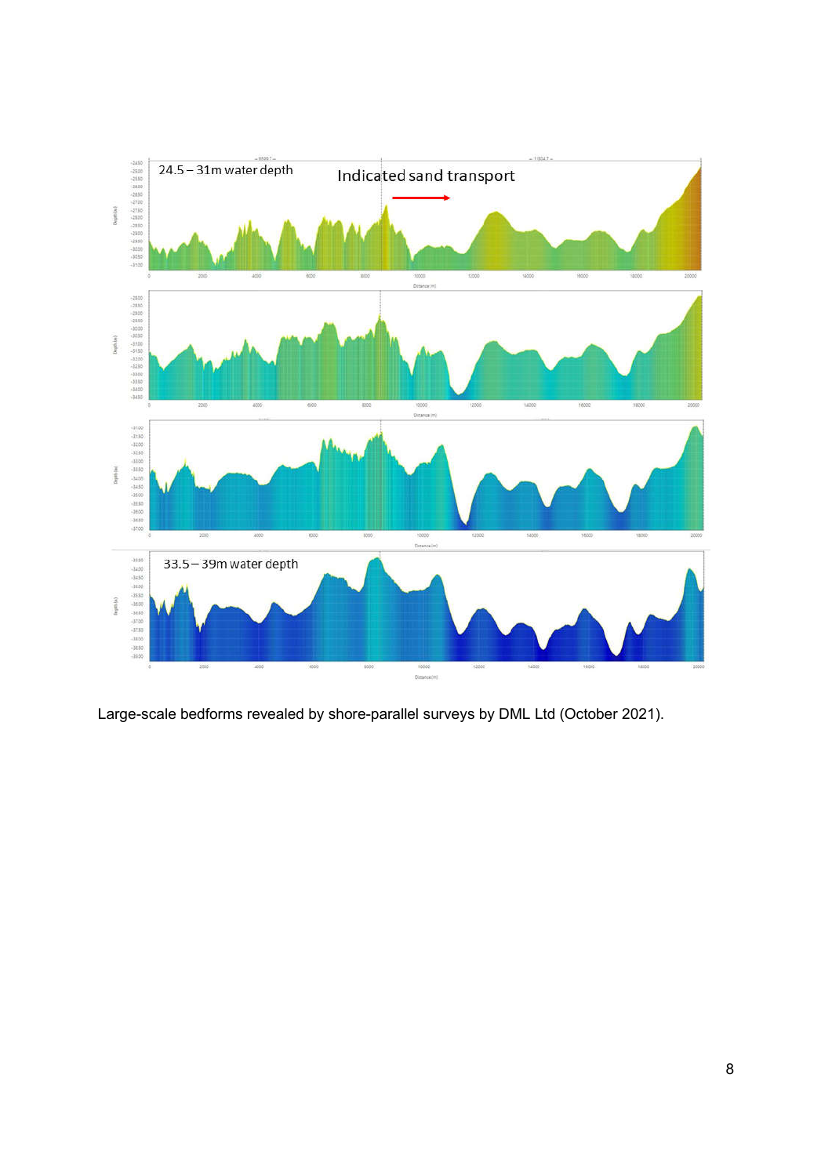

Large-scale bedforms revealed by shore-parallel surveys by DML Ltd (October 2021).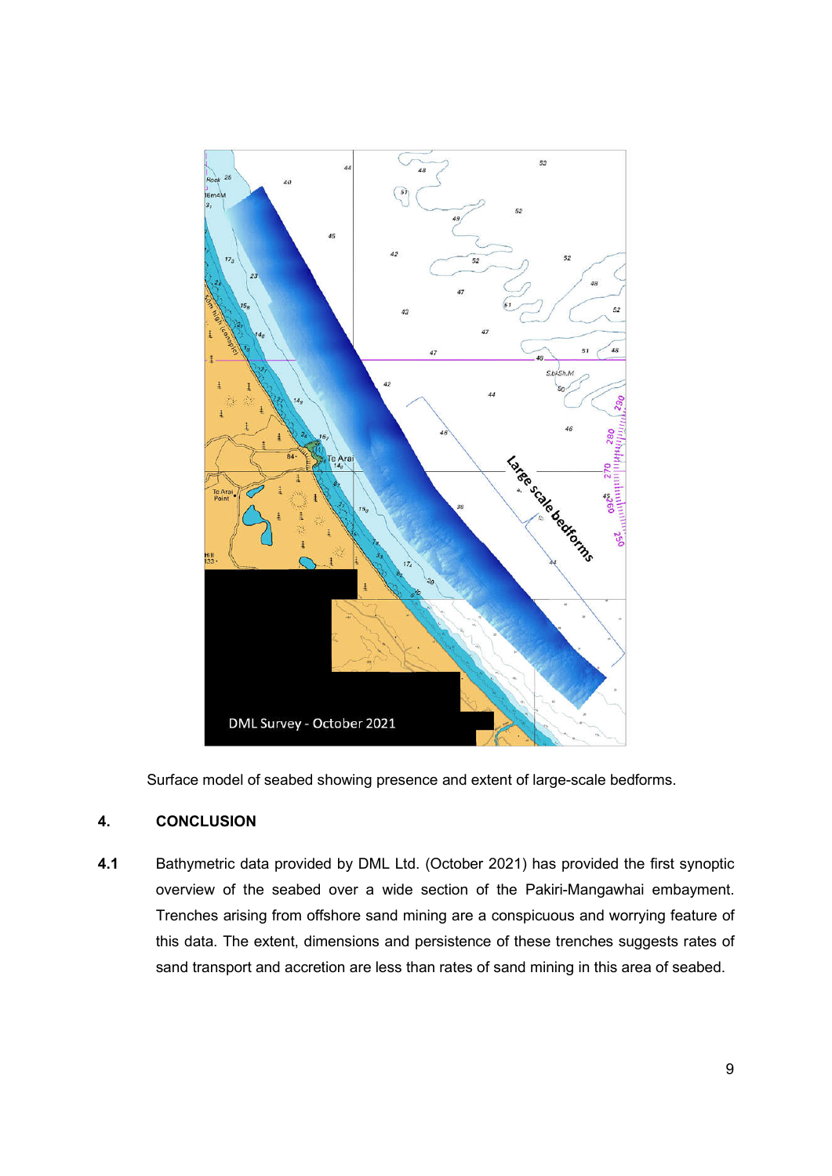

Surface model of seabed showing presence and extent of large-scale bedforms.

## **4. CONCLUSION**

**4.1** Bathymetric data provided by DML Ltd. (October 2021) has provided the first synoptic overview of the seabed over a wide section of the Pakiri-Mangawhai embayment. Trenches arising from offshore sand mining are a conspicuous and worrying feature of this data. The extent, dimensions and persistence of these trenches suggests rates of sand transport and accretion are less than rates of sand mining in this area of seabed.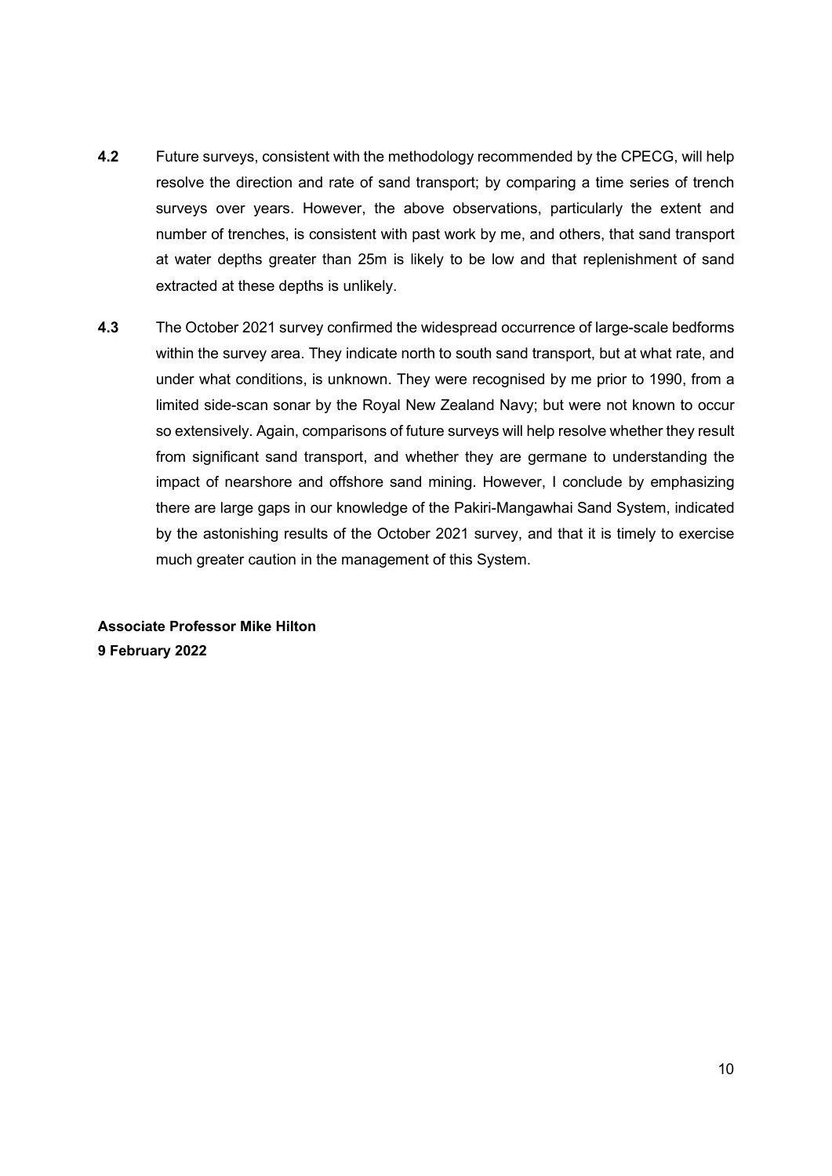- **4.2** Future surveys, consistent with the methodology recommended by the CPECG, will help resolve the direction and rate of sand transport; by comparing a time series of trench surveys over years. However, the above observations, particularly the extent and number of trenches, is consistent with past work by me, and others, that sand transport at water depths greater than 25m is likely to be low and that replenishment of sand extracted at these depths is unlikely.
- **4.3** The October 2021 survey confirmed the widespread occurrence of large-scale bedforms within the survey area. They indicate north to south sand transport, but at what rate, and under what conditions, is unknown. They were recognised by me prior to 1990, from a limited side-scan sonar by the Royal New Zealand Navy; but were not known to occur so extensively. Again, comparisons of future surveys will help resolve whether they result from significant sand transport, and whether they are germane to understanding the impact of nearshore and offshore sand mining. However, I conclude by emphasizing there are large gaps in our knowledge of the Pakiri-Mangawhai Sand System, indicated by the astonishing results of the October 2021 survey, and that it is timely to exercise much greater caution in the management of this System.

**Associate Professor Mike Hilton 9 February 2022**